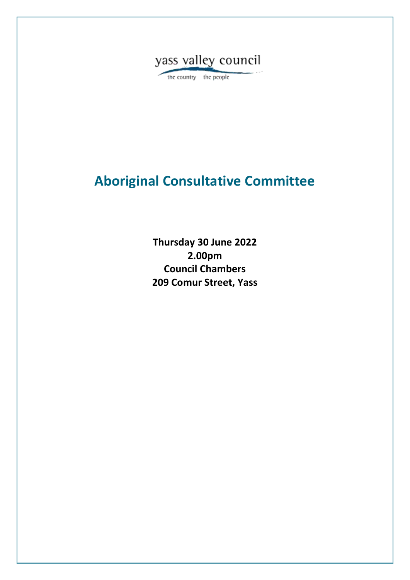

the country the people

# **Aboriginal Consultative Committee**

**Thursday 30 June 2022 2.00pm Council Chambers 209 Comur Street, Yass**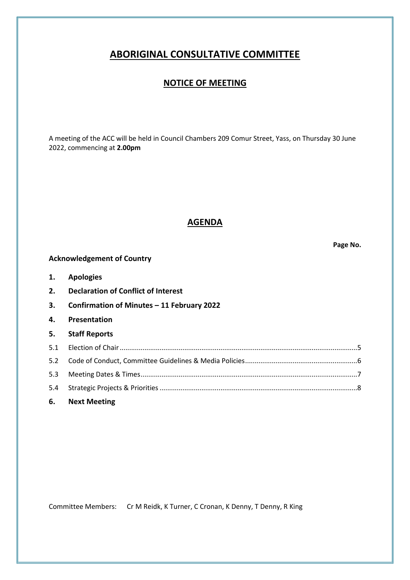# **ABORIGINAL CONSULTATIVE COMMITTEE**

### **NOTICE OF MEETING**

A meeting of the ACC will be held in Council Chambers 209 Comur Street, Yass, on Thursday 30 June 2022, commencing at **2.00pm**

### **AGENDA**

**Page No.**

# **Acknowledgement of Country 1. Apologies 2. Declaration of Conflict of Interest 3. Confirmation of Minutes – 11 February 2022 4. Presentation**

| 5. Staff Reports |  |
|------------------|--|
|                  |  |
|                  |  |
|                  |  |
|                  |  |
| 6. Next Meeting  |  |

Committee Members: Cr M Reidk, K Turner, C Cronan, K Denny, T Denny, R King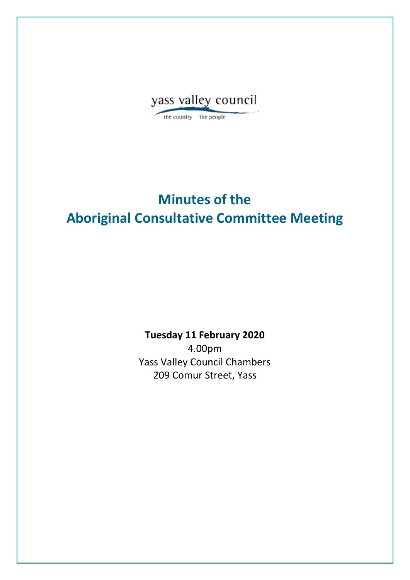

the country the people

# **Minutes of the Aboriginal Consultative Committee Meeting**

**Tuesday 11 February 2020**

4.00pm Yass Valley Council Chambers 209 Comur Street, Yass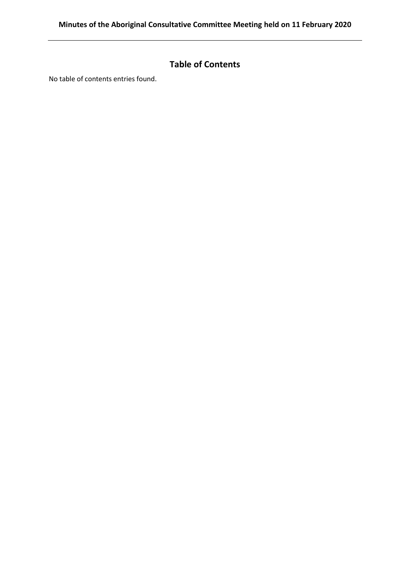# **Table of Contents**

No table of contents entries found.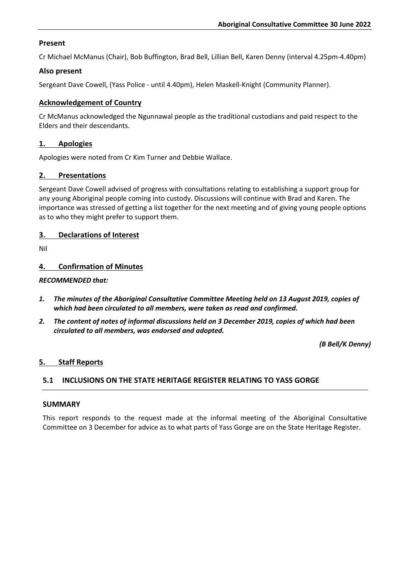#### **Present**

Cr Michael McManus (Chair), Bob Buffington, Brad Bell, Lillian Bell, Karen Denny (interval 4.25pm-4.40pm)

#### **Also present**

Sergeant Dave Cowell, (Yass Police - until 4.40pm), Helen Maskell-Knight (Community Planner).

#### **Acknowledgement of Country**

Cr McManus acknowledged the Ngunnawal people as the traditional custodians and paid respect to the Elders and their descendants.

#### **1. Apologies**

Apologies were noted from Cr Kim Turner and Debbie Wallace.

#### **2. Presentations**

Sergeant Dave Cowell advised of progress with consultations relating to establishing a support group for any young Aboriginal people coming into custody. Discussions will continue with Brad and Karen. The importance was stressed of getting a list together for the next meeting and of giving young people options as to who they might prefer to support them.

#### **3. Declarations of Interest**

Nil

#### **4. Confirmation of Minutes**

#### *RECOMMENDED that:*

- *1. The minutes of the Aboriginal Consultative Committee Meeting held on 13 August 2019, copies of which had been circulated to all members, were taken as read and confirmed.*
- *2. The content of notes of informal discussions held on 3 December 2019, copies of which had been circulated to all members, was endorsed and adopted.*

*(B Bell/K Denny)*

#### **5. Staff Reports**

#### **5.1 INCLUSIONS ON THE STATE HERITAGE REGISTER RELATING TO YASS GORGE**

#### **SUMMARY**

This report responds to the request made at the informal meeting of the Aboriginal Consultative Committee on 3 December for advice as to what parts of Yass Gorge are on the State Heritage Register.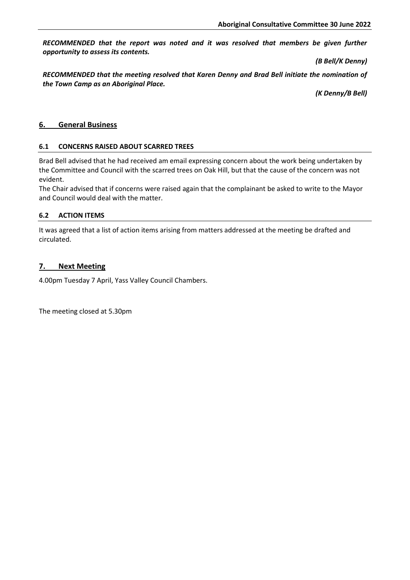*RECOMMENDED that the report was noted and it was resolved that members be given further opportunity to assess its contents.* 

*(B Bell/K Denny)*

*RECOMMENDED that the meeting resolved that Karen Denny and Brad Bell initiate the nomination of the Town Camp as an Aboriginal Place.*

*(K Denny/B Bell)*

#### **6. General Business**

#### **6.1 CONCERNS RAISED ABOUT SCARRED TREES**

Brad Bell advised that he had received am email expressing concern about the work being undertaken by the Committee and Council with the scarred trees on Oak Hill, but that the cause of the concern was not evident.

The Chair advised that if concerns were raised again that the complainant be asked to write to the Mayor and Council would deal with the matter.

#### **6.2 ACTION ITEMS**

It was agreed that a list of action items arising from matters addressed at the meeting be drafted and circulated.

#### **7. Next Meeting**

4.00pm Tuesday 7 April, Yass Valley Council Chambers.

The meeting closed at 5.30pm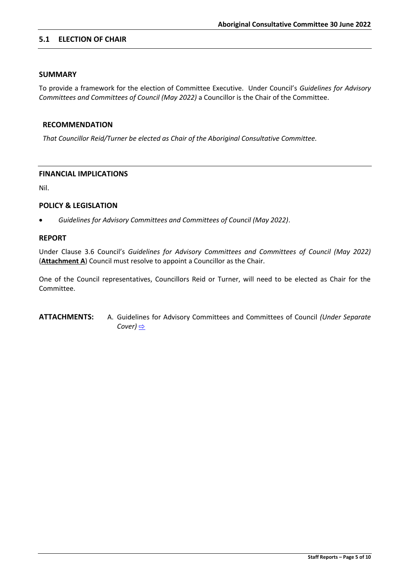#### **5.1 ELECTION OF CHAIR**

#### **SUMMARY**

To provide a framework for the election of Committee Executive. Under Council's *Guidelines for Advisory Committees and Committees of Council (May 2022)* a Councillor is the Chair of the Committee.

#### **RECOMMENDATION**

*That Councillor Reid/Turner be elected as Chair of the Aboriginal Consultative Committee.*

#### **FINANCIAL IMPLICATIONS**

Nil.

#### **POLICY & LEGISLATION**

• *Guidelines for Advisory Committees and Committees of Council (May 2022)*.

#### **REPORT**

Under Clause 3.6 Council's *Guidelines for Advisory Committees and Committees of Council (May 2022)* (**Attachment A**) Council must resolve to appoint a Councillor as the Chair.

One of the Council representatives, Councillors Reid or Turner, will need to be elected as Chair for the Committee.

**ATTACHMENTS:** A. Guidelines for Advisory Committees and Committees of Council *(Under Separate Cover)* [⇨](../../../RedirectToInvalidFileName.aspx?FileName=ACCCC_30062022_ATT_720_EXCLUDED.PDF#PAGE=3)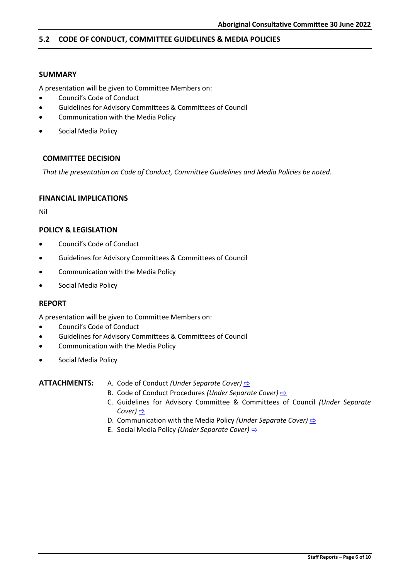#### **5.2 CODE OF CONDUCT, COMMITTEE GUIDELINES & MEDIA POLICIES**

#### **SUMMARY**

A presentation will be given to Committee Members on:

- Council's Code of Conduct
- Guidelines for Advisory Committees & Committees of Council
- Communication with the Media Policy
- Social Media Policy

#### **COMMITTEE DECISION**

*That the presentation on Code of Conduct, Committee Guidelines and Media Policies be noted.*

#### **FINANCIAL IMPLICATIONS**

Nil

#### **POLICY & LEGISLATION**

- Council's Code of Conduct
- Guidelines for Advisory Committees & Committees of Council
- Communication with the Media Policy
- Social Media Policy

#### **REPORT**

A presentation will be given to Committee Members on:

- Council's Code of Conduct
- Guidelines for Advisory Committees & Committees of Council
- Communication with the Media Policy
- Social Media Policy

#### **ATTACHMENTS:** A. Code of Conduct *(Under Separate Cover)* [⇨](../../../RedirectToInvalidFileName.aspx?FileName=ACCCC_30062022_ATT_720_EXCLUDED.PDF#PAGE=46)

- B. Code of Conduct Procedures *(Under Separate Cover)*  $\Rightarrow$
- C. Guidelines for Advisory Committee & Committees of Council *(Under Separate Cover)* [⇨](../../../RedirectToInvalidFileName.aspx?FileName=ACCCC_30062022_ATT_720_EXCLUDED.PDF#PAGE=160)
- D. Communication with the Media Policy *(Under Separate Cover)* **[⇨](../../../RedirectToInvalidFileName.aspx?FileName=ACCCC_30062022_ATT_720_EXCLUDED.PDF#PAGE=203)**
- E. Social Media Policy *(Under Separate Cover)* [⇨](../../../RedirectToInvalidFileName.aspx?FileName=ACCCC_30062022_ATT_720_EXCLUDED.PDF#PAGE=206)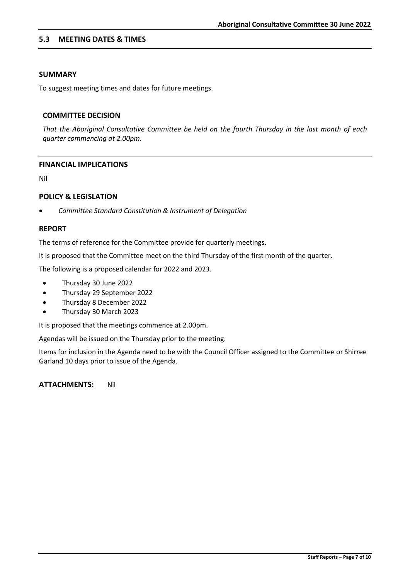#### **5.3 MEETING DATES & TIMES**

#### **SUMMARY**

To suggest meeting times and dates for future meetings.

#### **COMMITTEE DECISION**

*That the Aboriginal Consultative Committee be held on the fourth Thursday in the last month of each quarter commencing at 2.00pm.* 

#### **FINANCIAL IMPLICATIONS**

Nil

#### **POLICY & LEGISLATION**

• *Committee Standard Constitution & Instrument of Delegation*

#### **REPORT**

The terms of reference for the Committee provide for quarterly meetings.

It is proposed that the Committee meet on the third Thursday of the first month of the quarter.

The following is a proposed calendar for 2022 and 2023.

- Thursday 30 June 2022
- Thursday 29 September 2022
- Thursday 8 December 2022
- Thursday 30 March 2023

It is proposed that the meetings commence at 2.00pm.

Agendas will be issued on the Thursday prior to the meeting.

Items for inclusion in the Agenda need to be with the Council Officer assigned to the Committee or Shirree Garland 10 days prior to issue of the Agenda.

**ATTACHMENTS:** Nil